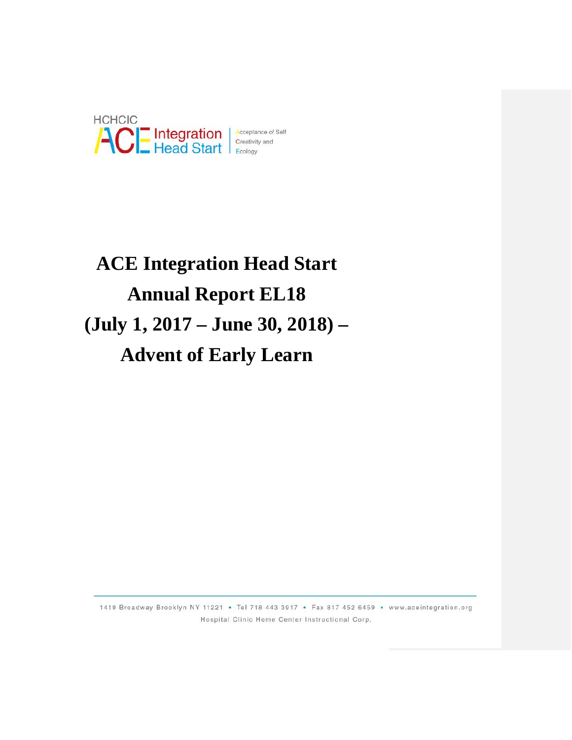

# **ACE Integration Head Start Annual Report EL18 (July 1, 2017 – June 30, 2018) – Advent of Early Learn**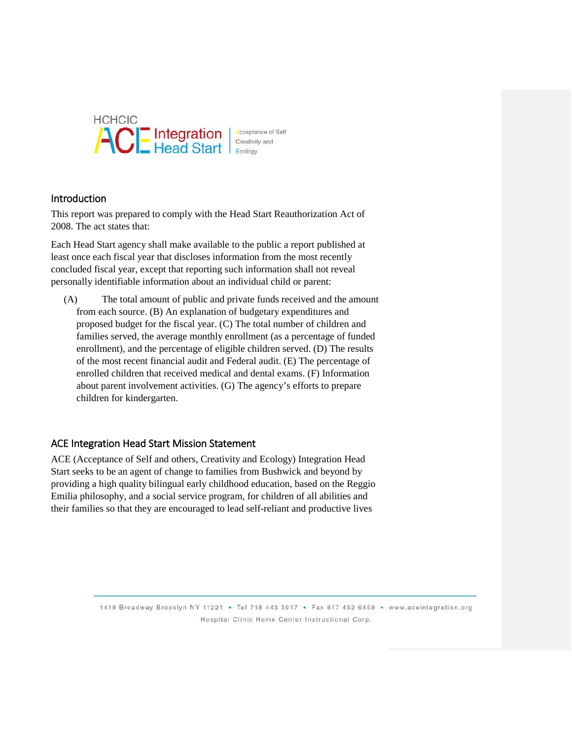

### Introduction

This report was prepared to comply with the Head Start Reauthorization Act of 2008. The act states that:

Each Head Start agency shall make available to the public a report published at least once each fiscal year that discloses information from the most recently concluded fiscal year, except that reporting such information shall not reveal personally identifiable information about an individual child or parent:

(A) The total amount of public and private funds received and the amount from each source. (B) An explanation of budgetary expenditures and proposed budget for the fiscal year. (C) The total number of children and families served, the average monthly enrollment (as a percentage of funded enrollment), and the percentage of eligible children served. (D) The results of the most recent financial audit and Federal audit. (E) The percentage of enrolled children that received medical and dental exams. (F) Information about parent involvement activities. (G) The agency's efforts to prepare children for kindergarten.

### ACE Integration Head Start Mission Statement

ACE (Acceptance of Self and others, Creativity and Ecology) Integration Head Start seeks to be an agent of change to families from Bushwick and beyond by providing a high quality bilingual early childhood education, based on the Reggio Emilia philosophy, and a social service program, for children of all abilities and their families so that they are encouraged to lead self-reliant and productive lives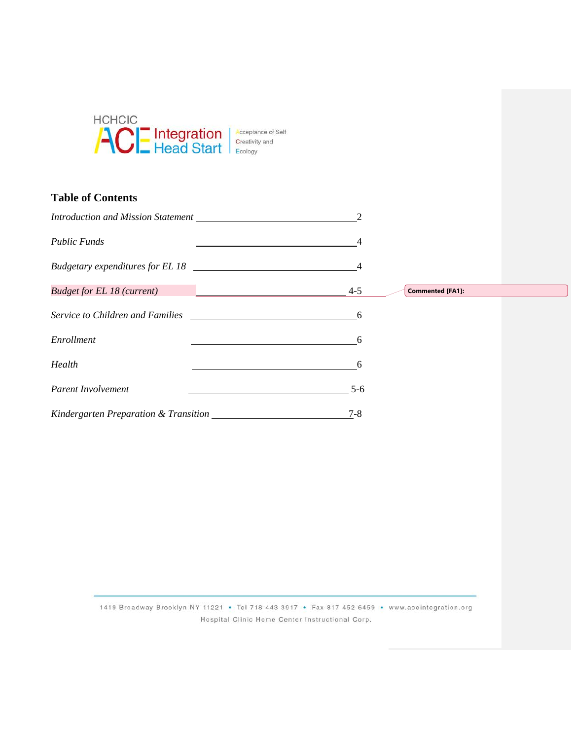

# **Table of Contents**

| Introduction and Mission Statement Learning Control of the Mission Statement Learning Control of the Mission Statement Control of the Mission Statement Control of the Mission Statement Control of the Mission Statement Cont |         |                         |
|--------------------------------------------------------------------------------------------------------------------------------------------------------------------------------------------------------------------------------|---------|-------------------------|
| <b>Public Funds</b>                                                                                                                                                                                                            |         |                         |
|                                                                                                                                                                                                                                |         |                         |
| <b>Budget for EL 18 (current)</b><br><u> 1950 - Jan Barnett, mars et al. 19</u>                                                                                                                                                | $4 - 5$ | <b>Commented [FA1]:</b> |
| Service to Children and Families <b>Service 19 and Service 10</b> Service 10 AM                                                                                                                                                | -6      |                         |
| Enrollment                                                                                                                                                                                                                     | 6       |                         |
| Health                                                                                                                                                                                                                         | 6       |                         |
| Parent Involvement                                                                                                                                                                                                             | $5 - 6$ |                         |
|                                                                                                                                                                                                                                | $7 - 8$ |                         |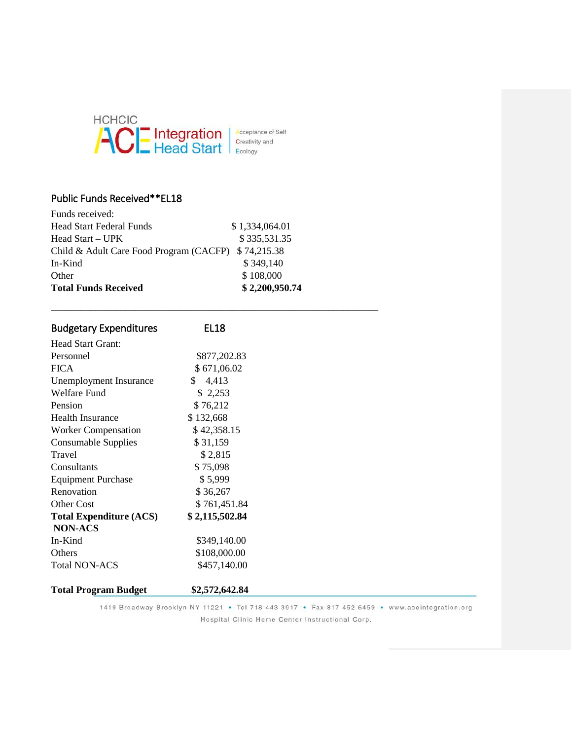

## Public Funds Received\*\*EL18

| <b>Total Funds Received</b>                         | \$2,200,950.74 |
|-----------------------------------------------------|----------------|
| Other                                               | \$108,000      |
| In-Kind                                             | \$349,140      |
| Child & Adult Care Food Program (CACFP) \$74,215.38 |                |
| Head Start – UPK                                    | \$335,531.35   |
| <b>Head Start Federal Funds</b>                     | \$1,334,064.01 |
| Funds received:                                     |                |

| <b>Budgetary Expenditures</b>  | EL <sub>18</sub> |  |
|--------------------------------|------------------|--|
| Head Start Grant:              |                  |  |
| Personnel                      | \$877,202.83     |  |
| <b>FICA</b>                    | \$671,06.02      |  |
| Unemployment Insurance         | 4,413<br>\$.     |  |
| <b>Welfare Fund</b>            | \$2,253          |  |
| Pension                        | \$76,212         |  |
| <b>Health Insurance</b>        | \$132,668        |  |
| <b>Worker Compensation</b>     | \$42,358.15      |  |
| <b>Consumable Supplies</b>     | \$31,159         |  |
| Travel                         | \$2,815          |  |
| Consultants                    | \$75,098         |  |
| <b>Equipment Purchase</b>      | \$5,999          |  |
| Renovation                     | \$36,267         |  |
| <b>Other Cost</b>              | \$761,451.84     |  |
| <b>Total Expenditure (ACS)</b> | \$2,115,502.84   |  |
| NON-ACS                        |                  |  |
| In-Kind                        | \$349,140.00     |  |
| <b>Others</b>                  | \$108,000.00     |  |
| <b>Total NON-ACS</b>           | \$457,140.00     |  |
| <b>Total Program Budget</b>    | \$2,572,642.84   |  |

\_\_\_\_\_\_\_\_\_\_\_\_\_\_\_\_\_\_\_\_\_\_\_\_\_\_\_\_\_\_\_\_\_\_\_\_\_\_\_\_\_\_\_\_\_\_\_\_\_\_\_\_\_\_\_\_\_\_\_\_\_\_\_\_\_\_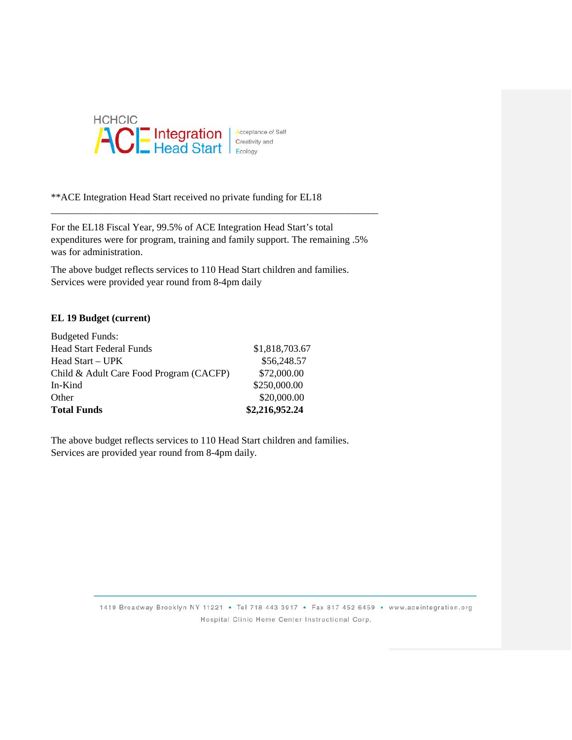

\*\*ACE Integration Head Start received no private funding for EL18

For the EL18 Fiscal Year, 99.5% of ACE Integration Head Start's total expenditures were for program, training and family support. The remaining .5% was for administration.

\_\_\_\_\_\_\_\_\_\_\_\_\_\_\_\_\_\_\_\_\_\_\_\_\_\_\_\_\_\_\_\_\_\_\_\_\_\_\_\_\_\_\_\_\_\_\_\_\_\_\_\_\_\_\_\_\_\_\_\_\_\_\_\_\_\_

The above budget reflects services to 110 Head Start children and families. Services were provided year round from 8-4pm daily

#### **EL 19 Budget (current)**

| <b>Total Funds</b>                      | \$2,216,952.24 |
|-----------------------------------------|----------------|
| Other                                   | \$20,000.00    |
| In-Kind                                 | \$250,000.00   |
| Child & Adult Care Food Program (CACFP) | \$72,000.00    |
| Head Start – UPK                        | \$56,248.57    |
| <b>Head Start Federal Funds</b>         | \$1,818,703.67 |
| <b>Budgeted Funds:</b>                  |                |

The above budget reflects services to 110 Head Start children and families. Services are provided year round from 8-4pm daily.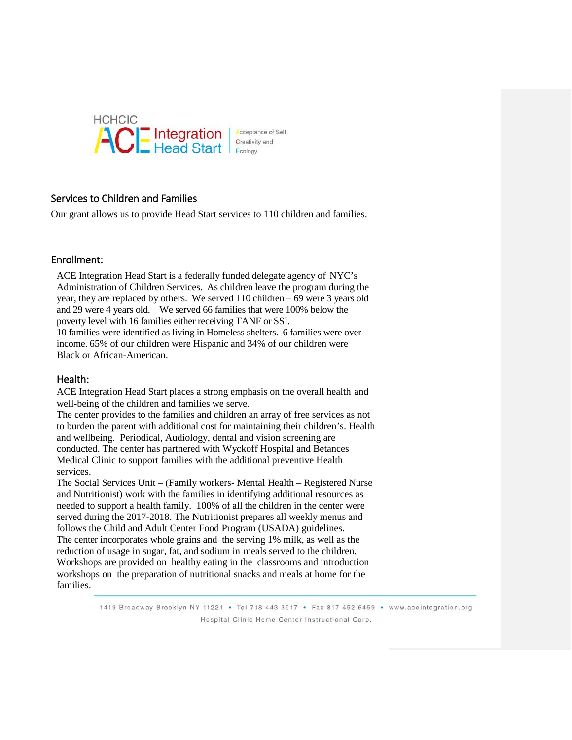

### Services to Children and Families

Our grant allows us to provide Head Start services to 110 children and families.

### Enrollment:

ACE Integration Head Start is a federally funded delegate agency of NYC's Administration of Children Services. As children leave the program during the year, they are replaced by others. We served 110 children – 69 were 3 years old and 29 were 4 years old. We served 66 families that were 100% below the poverty level with 16 families either receiving TANF or SSI.

10 families were identified as living in Homeless shelters. 6 families were over income. 65% of our children were Hispanic and 34% of our children were Black or African-American.

#### Health:

ACE Integration Head Start places a strong emphasis on the overall health and well-being of the children and families we serve.

The center provides to the families and children an array of free services as not to burden the parent with additional cost for maintaining their children's. Health and wellbeing. Periodical, Audiology, dental and vision screening are conducted. The center has partnered with Wyckoff Hospital and Betances Medical Clinic to support families with the additional preventive Health services.

The Social Services Unit – (Family workers- Mental Health – Registered Nurse and Nutritionist) work with the families in identifying additional resources as needed to support a health family. 100% of all the children in the center were served during the 2017-2018. The Nutritionist prepares all weekly menus and follows the Child and Adult Center Food Program (USADA) guidelines. The center incorporates whole grains and the serving 1% milk, as well as the reduction of usage in sugar, fat, and sodium in meals served to the children. Workshops are provided on healthy eating in the classrooms and introduction workshops on the preparation of nutritional snacks and meals at home for the families.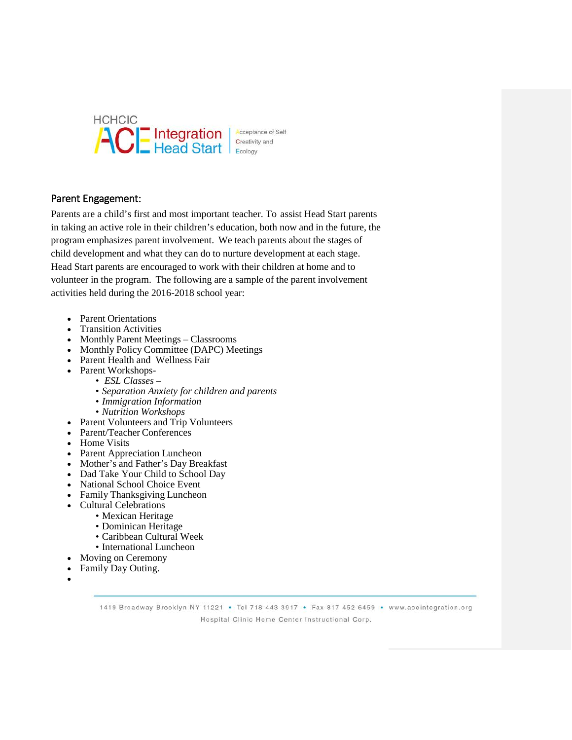

Acceptance of Self Creativity and

## Parent Engagement:

Parents are a child's first and most important teacher. To assist Head Start parents in taking an active role in their children's education, both now and in the future, the program emphasizes parent involvement. We teach parents about the stages of child development and what they can do to nurture development at each stage. Head Start parents are encouraged to work with their children at home and to volunteer in the program. The following are a sample of the parent involvement activities held during the 2016-2018 school year:

- Parent Orientations
- Transition Activities
- Monthly Parent Meetings Classrooms
- Monthly Policy Committee (DAPC) Meetings
- Parent Health and Wellness Fair
- Parent Workshops-
	- *ESL Classes –*
		- *Separation Anxiety for children and parents*
		- *Immigration Information*
		- *Nutrition Workshops*
- Parent Volunteers and Trip Volunteers
- Parent/Teacher Conferences
- Home Visits
- Parent Appreciation Luncheon
- Mother's and Father's Day Breakfast
- Dad Take Your Child to School Day
- National School Choice Event
- Family Thanksgiving Luncheon
- Cultural Celebrations
	- Mexican Heritage
	- Dominican Heritage
	- Caribbean Cultural Week
	- International Luncheon
- Moving on Ceremony
- Family Day Outing.
- •